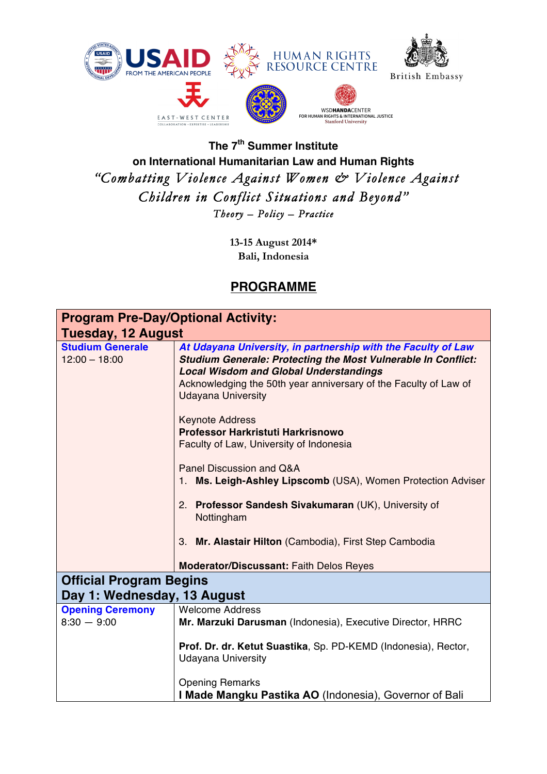

## **The 7th Summer Institute on International Humanitarian Law and Human Rights**  *"Combatting Violence Against Women & Violence Against Children in Conflict Situations and Beyond" Theory – Policy – Practice*

**13-15 August 2014\* Bali, Indonesia**

## **PROGRAMME**

| <b>Program Pre-Day/Optional Activity:</b>  |                                                                                                                                                                                                                                                                                         |  |
|--------------------------------------------|-----------------------------------------------------------------------------------------------------------------------------------------------------------------------------------------------------------------------------------------------------------------------------------------|--|
| <b>Tuesday, 12 August</b>                  |                                                                                                                                                                                                                                                                                         |  |
| <b>Studium Generale</b><br>$12:00 - 18:00$ | At Udayana University, in partnership with the Faculty of Law<br><b>Studium Generale: Protecting the Most Vulnerable In Conflict:</b><br><b>Local Wisdom and Global Understandings</b><br>Acknowledging the 50th year anniversary of the Faculty of Law of<br><b>Udayana University</b> |  |
|                                            | <b>Keynote Address</b><br>Professor Harkristuti Harkrisnowo<br>Faculty of Law, University of Indonesia                                                                                                                                                                                  |  |
|                                            | Panel Discussion and Q&A<br>1. Ms. Leigh-Ashley Lipscomb (USA), Women Protection Adviser                                                                                                                                                                                                |  |
|                                            | 2. Professor Sandesh Sivakumaran (UK), University of<br>Nottingham                                                                                                                                                                                                                      |  |
|                                            | 3. Mr. Alastair Hilton (Cambodia), First Step Cambodia                                                                                                                                                                                                                                  |  |
|                                            | <b>Moderator/Discussant: Faith Delos Reyes</b>                                                                                                                                                                                                                                          |  |
| <b>Official Program Begins</b>             |                                                                                                                                                                                                                                                                                         |  |
| Day 1: Wednesday, 13 August                |                                                                                                                                                                                                                                                                                         |  |
| <b>Opening Ceremony</b><br>$8:30 - 9:00$   | <b>Welcome Address</b><br>Mr. Marzuki Darusman (Indonesia), Executive Director, HRRC                                                                                                                                                                                                    |  |
|                                            | Prof. Dr. dr. Ketut Suastika, Sp. PD-KEMD (Indonesia), Rector,<br><b>Udayana University</b>                                                                                                                                                                                             |  |
|                                            | <b>Opening Remarks</b><br>I Made Mangku Pastika AO (Indonesia), Governor of Bali                                                                                                                                                                                                        |  |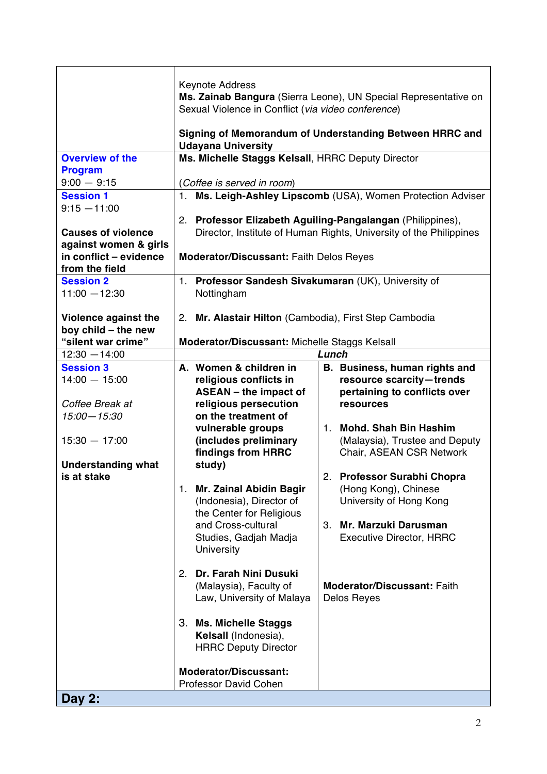|                                                                                                                                          | <b>Keynote Address</b><br>Sexual Violence in Conflict (via video conference)                                                                                                                                                                                                                                                                                                                                                                                                                                                  | Ms. Zainab Bangura (Sierra Leone), UN Special Representative on<br>Signing of Memorandum of Understanding Between HRRC and                                                                                                                                                                                                                                                                                  |
|------------------------------------------------------------------------------------------------------------------------------------------|-------------------------------------------------------------------------------------------------------------------------------------------------------------------------------------------------------------------------------------------------------------------------------------------------------------------------------------------------------------------------------------------------------------------------------------------------------------------------------------------------------------------------------|-------------------------------------------------------------------------------------------------------------------------------------------------------------------------------------------------------------------------------------------------------------------------------------------------------------------------------------------------------------------------------------------------------------|
|                                                                                                                                          | <b>Udayana University</b>                                                                                                                                                                                                                                                                                                                                                                                                                                                                                                     |                                                                                                                                                                                                                                                                                                                                                                                                             |
| <b>Overview of the</b><br><b>Program</b><br>$9:00 - 9:15$<br><b>Session 1</b>                                                            | Ms. Michelle Staggs Kelsall, HRRC Deputy Director<br>(Coffee is served in room)                                                                                                                                                                                                                                                                                                                                                                                                                                               | 1. Ms. Leigh-Ashley Lipscomb (USA), Women Protection Adviser                                                                                                                                                                                                                                                                                                                                                |
| $9:15 - 11:00$<br><b>Causes of violence</b><br>against women & girls<br>in conflict - evidence                                           | <b>Moderator/Discussant: Faith Delos Reyes</b>                                                                                                                                                                                                                                                                                                                                                                                                                                                                                | 2. Professor Elizabeth Aguiling-Pangalangan (Philippines),<br>Director, Institute of Human Rights, University of the Philippines                                                                                                                                                                                                                                                                            |
| from the field                                                                                                                           |                                                                                                                                                                                                                                                                                                                                                                                                                                                                                                                               |                                                                                                                                                                                                                                                                                                                                                                                                             |
| <b>Session 2</b><br>$11:00 - 12:30$                                                                                                      | 1. Professor Sandesh Sivakumaran (UK), University of<br>Nottingham                                                                                                                                                                                                                                                                                                                                                                                                                                                            |                                                                                                                                                                                                                                                                                                                                                                                                             |
| Violence against the<br>boy child - the new                                                                                              | 2. Mr. Alastair Hilton (Cambodia), First Step Cambodia                                                                                                                                                                                                                                                                                                                                                                                                                                                                        |                                                                                                                                                                                                                                                                                                                                                                                                             |
| "silent war crime"<br>$12:30 - 14:00$                                                                                                    | Moderator/Discussant: Michelle Staggs Kelsall                                                                                                                                                                                                                                                                                                                                                                                                                                                                                 | Lunch                                                                                                                                                                                                                                                                                                                                                                                                       |
| <b>Session 3</b><br>$14:00 - 15:00$<br>Coffee Break at<br>$15:00 - 15:30$<br>$15:30 - 17:00$<br><b>Understanding what</b><br>is at stake | A. Women & children in<br>religious conflicts in<br><b>ASEAN</b> - the impact of<br>religious persecution<br>on the treatment of<br>vulnerable groups<br>(includes preliminary<br>findings from HRRC<br>study)<br><b>Mr. Zainal Abidin Bagir</b><br>1.<br>(Indonesia), Director of<br>the Center for Religious<br>and Cross-cultural<br>Studies, Gadjah Madja<br>University<br>Dr. Farah Nini Dusuki<br>2.<br>(Malaysia), Faculty of<br>Law, University of Malaya<br>3.<br><b>Ms. Michelle Staggs</b><br>Kelsall (Indonesia), | B. Business, human rights and<br>resource scarcity-trends<br>pertaining to conflicts over<br>resources<br>1. Mohd. Shah Bin Hashim<br>(Malaysia), Trustee and Deputy<br>Chair, ASEAN CSR Network<br><b>Professor Surabhi Chopra</b><br>2.<br>(Hong Kong), Chinese<br>University of Hong Kong<br>3.<br>Mr. Marzuki Darusman<br><b>Executive Director, HRRC</b><br>Moderator/Discussant: Faith<br>Delos Reyes |
|                                                                                                                                          | <b>HRRC Deputy Director</b><br><b>Moderator/Discussant:</b><br>Professor David Cohen                                                                                                                                                                                                                                                                                                                                                                                                                                          |                                                                                                                                                                                                                                                                                                                                                                                                             |
| Day 2:                                                                                                                                   |                                                                                                                                                                                                                                                                                                                                                                                                                                                                                                                               |                                                                                                                                                                                                                                                                                                                                                                                                             |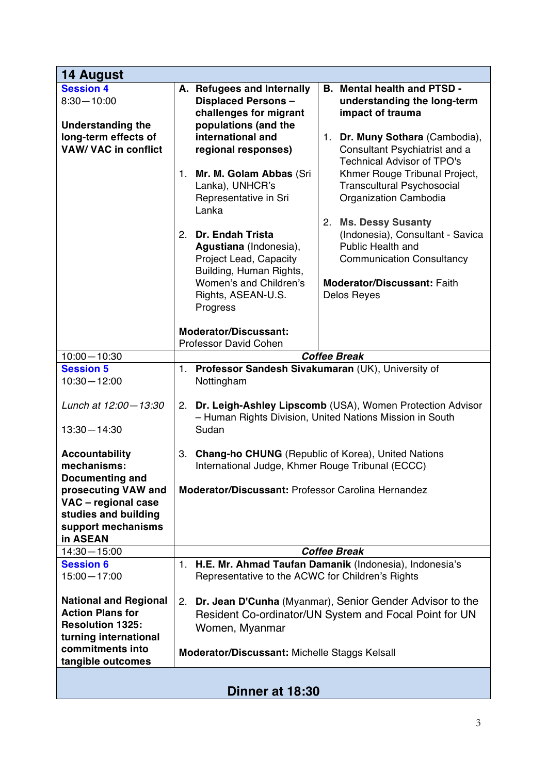| 14 August                                                                                                                                                              |                                                                                                                                                                                                                                                                                                                                                                                                                                                                                                                                                                                                                                                                                                                                                                                                                                                                                                                                               |  |
|------------------------------------------------------------------------------------------------------------------------------------------------------------------------|-----------------------------------------------------------------------------------------------------------------------------------------------------------------------------------------------------------------------------------------------------------------------------------------------------------------------------------------------------------------------------------------------------------------------------------------------------------------------------------------------------------------------------------------------------------------------------------------------------------------------------------------------------------------------------------------------------------------------------------------------------------------------------------------------------------------------------------------------------------------------------------------------------------------------------------------------|--|
| <b>Session 4</b><br>$8:30 - 10:00$<br><b>Understanding the</b><br>long-term effects of<br><b>VAW/ VAC in conflict</b>                                                  | A. Refugees and Internally<br><b>B.</b> Mental health and PTSD -<br><b>Displaced Persons-</b><br>understanding the long-term<br>challenges for migrant<br>impact of trauma<br>populations (and the<br>international and<br>$1_{-}$<br>Dr. Muny Sothara (Cambodia),<br>Consultant Psychiatrist and a<br>regional responses)<br><b>Technical Advisor of TPO's</b><br>Mr. M. Golam Abbas (Sri<br>Khmer Rouge Tribunal Project,<br>1.<br>Lanka), UNHCR's<br><b>Transcultural Psychosocial</b><br>Organization Cambodia<br>Representative in Sri<br>Lanka<br><b>Ms. Dessy Susanty</b><br>2.<br><b>Dr. Endah Trista</b><br>(Indonesia), Consultant - Savica<br>2.<br>Public Health and<br>Agustiana (Indonesia),<br>Project Lead, Capacity<br><b>Communication Consultancy</b><br>Building, Human Rights,<br>Women's and Children's<br>Moderator/Discussant: Faith<br>Rights, ASEAN-U.S.<br>Delos Reyes<br>Progress<br><b>Moderator/Discussant:</b> |  |
| $10:00 - 10:30$                                                                                                                                                        | Professor David Cohen<br><b>Coffee Break</b>                                                                                                                                                                                                                                                                                                                                                                                                                                                                                                                                                                                                                                                                                                                                                                                                                                                                                                  |  |
| <b>Session 5</b><br>$10:30 - 12:00$<br>Lunch at 12:00 - 13:30<br>$13:30 - 14:30$                                                                                       | Professor Sandesh Sivakumaran (UK), University of<br>1.<br>Nottingham<br>Dr. Leigh-Ashley Lipscomb (USA), Women Protection Advisor<br>2.<br>- Human Rights Division, United Nations Mission in South<br>Sudan                                                                                                                                                                                                                                                                                                                                                                                                                                                                                                                                                                                                                                                                                                                                 |  |
| <b>Accountability</b><br>mechanisms:<br><b>Documenting and</b><br>prosecuting VAW and<br>VAC - regional case<br>studies and building<br>support mechanisms<br>in ASEAN | <b>Chang-ho CHUNG</b> (Republic of Korea), United Nations<br>3.<br>International Judge, Khmer Rouge Tribunal (ECCC)<br>Moderator/Discussant: Professor Carolina Hernandez                                                                                                                                                                                                                                                                                                                                                                                                                                                                                                                                                                                                                                                                                                                                                                     |  |
| $14:30 - 15:00$                                                                                                                                                        | <b>Coffee Break</b>                                                                                                                                                                                                                                                                                                                                                                                                                                                                                                                                                                                                                                                                                                                                                                                                                                                                                                                           |  |
| <b>Session 6</b><br>$15:00 - 17:00$                                                                                                                                    | H.E. Mr. Ahmad Taufan Damanik (Indonesia), Indonesia's<br>1.<br>Representative to the ACWC for Children's Rights                                                                                                                                                                                                                                                                                                                                                                                                                                                                                                                                                                                                                                                                                                                                                                                                                              |  |
| <b>National and Regional</b><br><b>Action Plans for</b><br><b>Resolution 1325:</b><br>turning international<br>commitments into<br>tangible outcomes                   | Dr. Jean D'Cunha (Myanmar), Senior Gender Advisor to the<br>2.<br>Resident Co-ordinator/UN System and Focal Point for UN<br>Women, Myanmar<br>Moderator/Discussant: Michelle Staggs Kelsall                                                                                                                                                                                                                                                                                                                                                                                                                                                                                                                                                                                                                                                                                                                                                   |  |
| Dinner at 18:30                                                                                                                                                        |                                                                                                                                                                                                                                                                                                                                                                                                                                                                                                                                                                                                                                                                                                                                                                                                                                                                                                                                               |  |